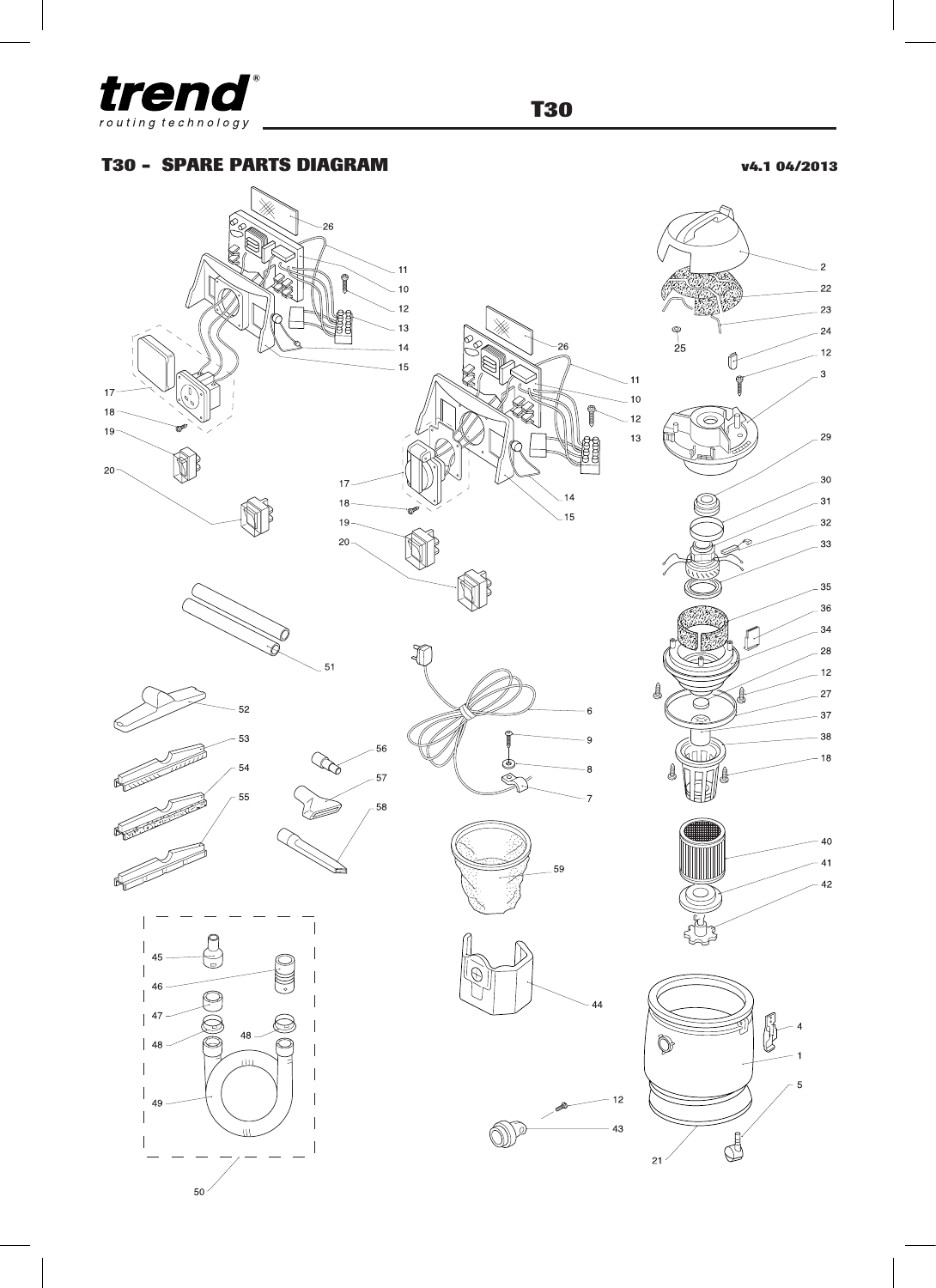

**T30**

## **T30 - SPARE PARTS DIAGRAM v4.1 04/2013**

 $\overline{c}$ 

 $^{23}$ 

 $^{24}$ 

2g

> $\overline{12}$

Þ

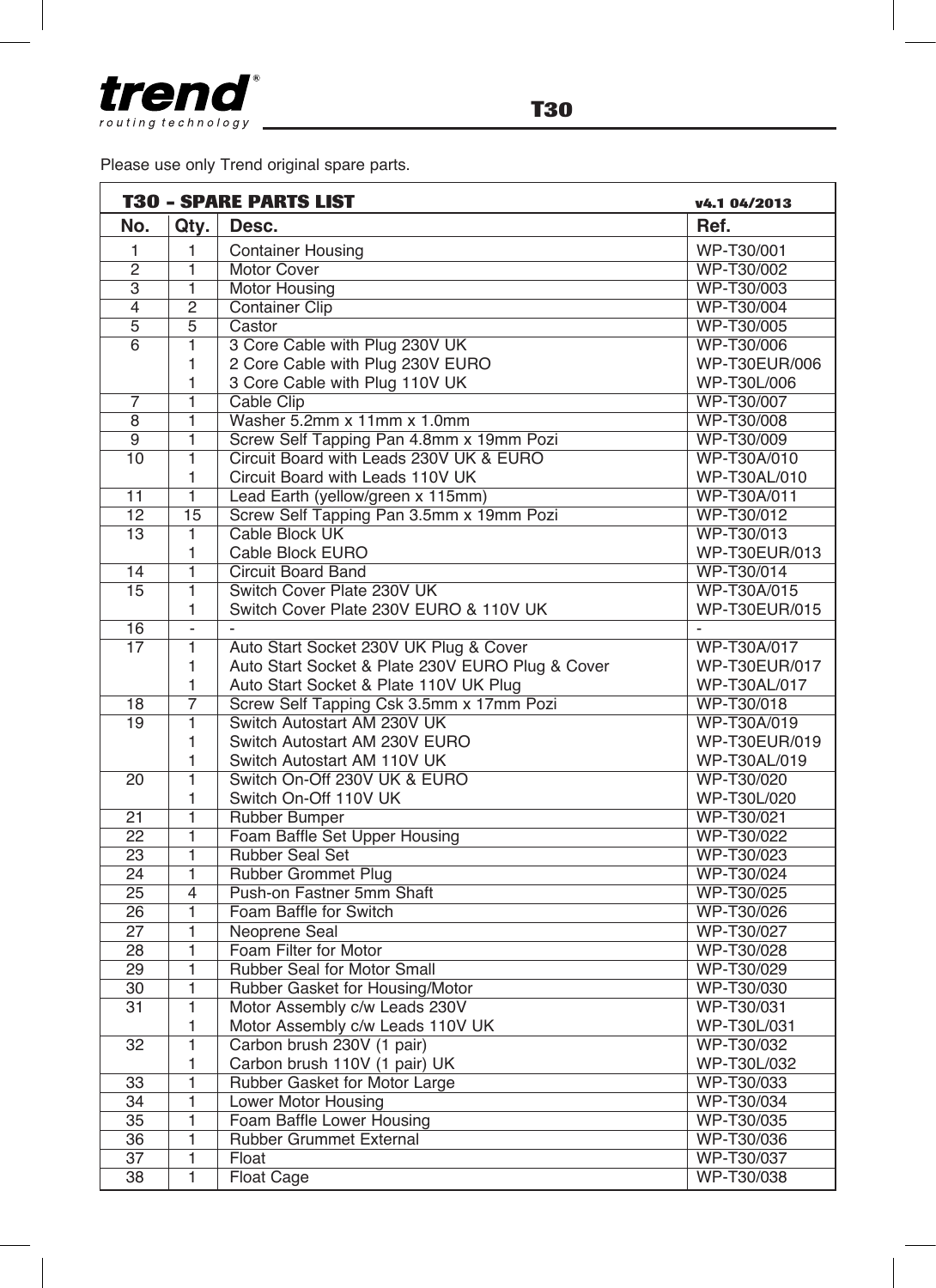

Please use only Trend original spare parts.

|                 | <b>T30 - SPARE PARTS LIST</b> | v4.1 04/2013                                     |               |
|-----------------|-------------------------------|--------------------------------------------------|---------------|
| No.             | Qty.                          | Desc.                                            | Ref.          |
| 1               | 1                             | <b>Container Housing</b>                         | WP-T30/001    |
| $\overline{2}$  | 1                             | <b>Motor Cover</b>                               | WP-T30/002    |
| 3               | $\overline{1}$                | <b>Motor Housing</b>                             | WP-T30/003    |
| $\overline{4}$  | $\overline{2}$                | <b>Container Clip</b>                            | WP-T30/004    |
| $\overline{5}$  | 5                             | Castor                                           | WP-T30/005    |
| $\overline{6}$  | 1                             | 3 Core Cable with Plug 230V UK                   | WP-T30/006    |
|                 | 1                             | 2 Core Cable with Plug 230V EURO                 | WP-T30EUR/006 |
|                 | 1                             | 3 Core Cable with Plug 110V UK                   | WP-T30L/006   |
| $\overline{7}$  | 1                             | Cable Clip                                       | WP-T30/007    |
| 8               | 1                             | Washer 5.2mm x 11mm x 1.0mm                      | WP-T30/008    |
| $\overline{9}$  | $\overline{1}$                | Screw Self Tapping Pan 4.8mm x 19mm Pozi         | WP-T30/009    |
| 10              | $\overline{1}$                | Circuit Board with Leads 230V UK & EURO          | WP-T30A/010   |
|                 | 1                             | Circuit Board with Leads 110V UK                 | WP-T30AL/010  |
| $\overline{11}$ | 1                             | Lead Earth (yellow/green x 115mm)                | WP-T30A/011   |
| $\overline{12}$ | $\overline{15}$               | Screw Self Tapping Pan 3.5mm x 19mm Pozi         | WP-T30/012    |
| $\overline{13}$ | $\overline{1}$                | Cable Block UK                                   | WP-T30/013    |
|                 | 1                             | Cable Block EURO                                 | WP-T30EUR/013 |
| 14              | 1                             | <b>Circuit Board Band</b>                        | WP-T30/014    |
| 15              | $\overline{1}$                | Switch Cover Plate 230V UK                       | WP-T30A/015   |
|                 | 1                             | Switch Cover Plate 230V EURO & 110V UK           | WP-T30EUR/015 |
| 16              | $\overline{a}$                |                                                  |               |
| 17              | $\overline{1}$                | Auto Start Socket 230V UK Plug & Cover           | WP-T30A/017   |
|                 | 1                             | Auto Start Socket & Plate 230V EURO Plug & Cover | WP-T30EUR/017 |
|                 | 1                             | Auto Start Socket & Plate 110V UK Plug           | WP-T30AL/017  |
| 18              | $\overline{7}$                | Screw Self Tapping Csk 3.5mm x 17mm Pozi         | WP-T30/018    |
| 19              | $\overline{1}$                | Switch Autostart AM 230V UK                      | WP-T30A/019   |
|                 | 1                             | Switch Autostart AM 230V EURO                    | WP-T30EUR/019 |
|                 | 1                             | Switch Autostart AM 110V UK                      | WP-T30AL/019  |
| $\overline{20}$ | $\overline{1}$                | Switch On-Off 230V UK & EURO                     | WP-T30/020    |
|                 | 1                             | Switch On-Off 110V UK                            | WP-T30L/020   |
| $\overline{21}$ | 1                             | Rubber Bumper                                    | WP-T30/021    |
| $\overline{22}$ | 1                             | Foam Baffle Set Upper Housing                    | WP-T30/022    |
| $\overline{23}$ | ī                             | <b>Rubber Seal Set</b>                           | WP-T30/023    |
| 24              | 1                             | <b>Rubber Grommet Plug</b>                       | WP-T30/024    |
| $\overline{25}$ | $\overline{\mathbf{4}}$       | Push-on Fastner 5mm Shaft                        | WP-T30/025    |
| $\overline{26}$ | $\overline{1}$                | Foam Baffle for Switch                           | WP-T30/026    |
| $\overline{27}$ | $\overline{1}$                | Neoprene Seal                                    | WP-T30/027    |
| 28              | 1                             | Foam Filter for Motor                            | WP-T30/028    |
| 29              | 1                             | Rubber Seal for Motor Small                      | WP-T30/029    |
| 30              | 1                             |                                                  | WP-T30/030    |
| 31              | $\overline{1}$                | Rubber Gasket for Housing/Motor                  | WP-T30/031    |
|                 |                               | Motor Assembly c/w Leads 230V                    |               |
|                 | 1                             | Motor Assembly c/w Leads 110V UK                 | WP-T30L/031   |
| 32              | $\overline{1}$                | Carbon brush 230V (1 pair)                       | WP-T30/032    |
|                 | 1                             | Carbon brush 110V (1 pair) UK                    | WP-T30L/032   |
| 33              | 1                             | Rubber Gasket for Motor Large                    | WP-T30/033    |
| 34              | 1                             | Lower Motor Housing                              | WP-T30/034    |
| $\overline{35}$ | $\overline{1}$                | Foam Baffle Lower Housing                        | WP-T30/035    |
| 36              | 1                             | <b>Rubber Grummet External</b>                   | WP-T30/036    |
| $\overline{37}$ | 1                             | Float                                            | WP-T30/037    |
| $\overline{38}$ | $\overline{1}$                | <b>Float Cage</b>                                | WP-T30/038    |